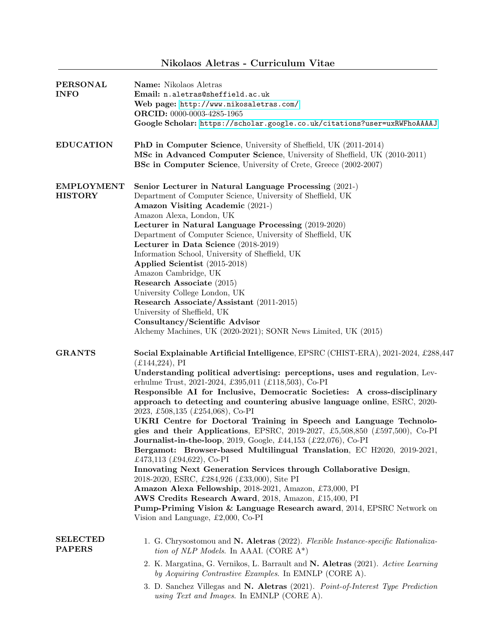## Nikolaos Aletras - Curriculum Vitae

| <b>PERSONAL</b><br><b>INFO</b>      | Name: Nikolaos Aletras<br>Email: n.aletras@sheffield.ac.uk<br>Web page: http://www.nikosaletras.com/<br>ORCID: 0000-0003-4285-1965<br>Google Scholar: https://scholar.google.co.uk/citations?user=uxRWFhoAAAAJ                                                                                                                                                                                                                                                                                                                                                                                                                                                                                                                                                                                                                                                                                                                                                                                                                                                                                                                                |
|-------------------------------------|-----------------------------------------------------------------------------------------------------------------------------------------------------------------------------------------------------------------------------------------------------------------------------------------------------------------------------------------------------------------------------------------------------------------------------------------------------------------------------------------------------------------------------------------------------------------------------------------------------------------------------------------------------------------------------------------------------------------------------------------------------------------------------------------------------------------------------------------------------------------------------------------------------------------------------------------------------------------------------------------------------------------------------------------------------------------------------------------------------------------------------------------------|
| <b>EDUCATION</b>                    | PhD in Computer Science, University of Sheffield, UK (2011-2014)<br>MSc in Advanced Computer Science, University of Sheffield, UK (2010-2011)<br><b>BSc in Computer Science</b> , University of Crete, Greece (2002-2007)                                                                                                                                                                                                                                                                                                                                                                                                                                                                                                                                                                                                                                                                                                                                                                                                                                                                                                                     |
| <b>EMPLOYMENT</b><br><b>HISTORY</b> | Senior Lecturer in Natural Language Processing (2021-)<br>Department of Computer Science, University of Sheffield, UK<br>Amazon Visiting Academic (2021-)<br>Amazon Alexa, London, UK<br>Lecturer in Natural Language Processing (2019-2020)<br>Department of Computer Science, University of Sheffield, UK<br>Lecturer in Data Science (2018-2019)<br>Information School, University of Sheffield, UK<br>Applied Scientist (2015-2018)<br>Amazon Cambridge, UK<br>Research Associate (2015)<br>University College London, UK<br>Research Associate/Assistant (2011-2015)<br>University of Sheffield, UK<br>Consultancy/Scientific Advisor<br>Alchemy Machines, UK (2020-2021); SONR News Limited, UK (2015)                                                                                                                                                                                                                                                                                                                                                                                                                                  |
| <b>GRANTS</b>                       | Social Explainable Artificial Intelligence, EPSRC (CHIST-ERA), 2021-2024, £288,447<br>$(E144, 224)$ , PI<br>Understanding political advertising: perceptions, uses and regulation, Lev-<br>erhulme Trust, 2021-2024, £395,011 (£118,503), Co-PI<br>Responsible AI for Inclusive, Democratic Societies: A cross-disciplinary<br>approach to detecting and countering abusive language online, ESRC, 2020-<br>2023, £508,135 (£254,068), Co-PI<br>UKRI Centre for Doctoral Training in Speech and Language Technolo-<br>gies and their Applications, EPSRC, 2019-2027, £5,508,850 (£597,500), Co-PI<br>Journalist-in-the-loop, 2019, Google, £44,153 (£22,076), Co-PI<br>Bergamot: Browser-based Multilingual Translation, EC H2020, 2019-2021,<br>£473,113 (£94,622), Co-PI<br>Innovating Next Generation Services through Collaborative Design,<br>2018-2020, ESRC, £284,926 (£33,000), Site PI<br>Amazon Alexa Fellowship, 2018-2021, Amazon, £73,000, PI<br>AWS Credits Research Award, 2018, Amazon, £15,400, PI<br><b>Pump-Priming Vision &amp; Language Research award, 2014, EPSRC Network on</b><br>Vision and Language, £2,000, Co-PI |
| <b>SELECTED</b><br><b>PAPERS</b>    | 1. G. Chrysostomou and N. Aletras (2022). Flexible Instance-specific Rationaliza-<br>tion of NLP Models. In AAAI. (CORE $A^*$ )<br>2. K. Margatina, G. Vernikos, L. Barrault and N. Aletras (2021). Active Learning<br>by Acquiring Contrastive Examples. In EMNLP (CORE A).<br>3. D. Sanchez Villegas and N. Aletras (2021). Point-of-Interest Type Prediction<br>using Text and Images. In EMNLP (CORE A).                                                                                                                                                                                                                                                                                                                                                                                                                                                                                                                                                                                                                                                                                                                                  |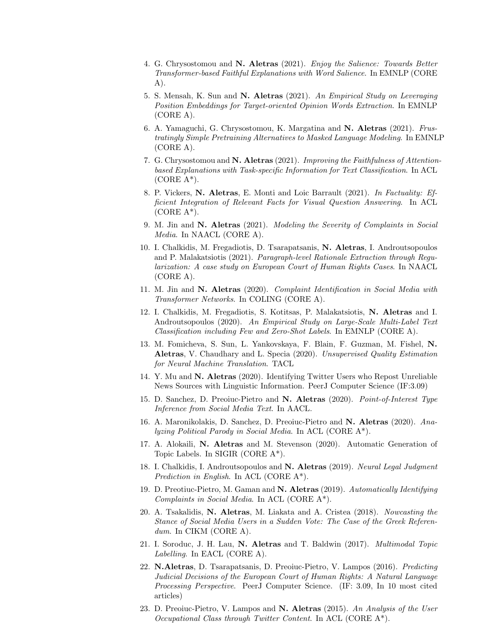- 4. G. Chrysostomou and N. Aletras (2021). Enjoy the Salience: Towards Better Transformer-based Faithful Explanations with Word Salience. In EMNLP (CORE A).
- 5. S. Mensah, K. Sun and N. Aletras (2021). An Empirical Study on Leveraging Position Embeddings for Target-oriented Opinion Words Extraction. In EMNLP (CORE A).
- 6. A. Yamaguchi, G. Chrysostomou, K. Margatina and N. Aletras (2021). Frustratingly Simple Pretraining Alternatives to Masked Language Modeling. In EMNLP (CORE A).
- 7. G. Chrysostomou and N. Aletras (2021). Improving the Faithfulness of Attentionbased Explanations with Task-specific Information for Text Classification. In ACL  $(CORE A<sup>*</sup>)$ .
- 8. P. Vickers, N. Aletras, E. Monti and Loic Barrault (2021). In Factuality: Efficient Integration of Relevant Facts for Visual Question Answering. In ACL  $(CORE A<sup>*</sup>)$ .
- 9. M. Jin and N. Aletras (2021). Modeling the Severity of Complaints in Social Media. In NAACL (CORE A).
- 10. I. Chalkidis, M. Fregadiotis, D. Tsarapatsanis, N. Aletras, I. Androutsopoulos and P. Malakatsiotis (2021). Paragraph-level Rationale Extraction through Regularization: A case study on European Court of Human Rights Cases. In NAACL (CORE A).
- 11. M. Jin and N. Aletras (2020). Complaint Identification in Social Media with Transformer Networks. In COLING (CORE A).
- 12. I. Chalkidis, M. Fregadiotis, S. Kotitsas, P. Malakatsiotis, N. Aletras and I. Androutsopoulos (2020). An Empirical Study on Large-Scale Multi-Label Text Classification including Few and Zero-Shot Labels. In EMNLP (CORE A).
- 13. M. Fomicheva, S. Sun, L. Yankovskaya, F. Blain, F. Guzman, M. Fishel, N. Aletras, V. Chaudhary and L. Specia (2020). Unsupervised Quality Estimation for Neural Machine Translation. TACL
- 14. Y. Mu and N. Aletras (2020). Identifying Twitter Users who Repost Unreliable News Sources with Linguistic Information. PeerJ Computer Science (IF:3.09)
- 15. D. Sanchez, D. Preoiuc-Pietro and N. Aletras (2020). Point-of-Interest Type Inference from Social Media Text. In AACL.
- 16. A. Maronikolakis, D. Sanchez, D. Preoiuc-Pietro and N. Aletras (2020). Analyzing Political Parody in Social Media. In ACL (CORE A\*).
- 17. A. Alokaili, N. Aletras and M. Stevenson (2020). Automatic Generation of Topic Labels. In SIGIR (CORE A\*).
- 18. I. Chalkidis, I. Androutsopoulos and N. Aletras (2019). Neural Legal Judgment Prediction in English. In ACL (CORE  $A^*$ ).
- 19. D. Preotiuc-Pietro, M. Gaman and N. Aletras (2019). Automatically Identifying Complaints in Social Media. In ACL (CORE A\*).
- 20. A. Tsakalidis, N. Aletras, M. Liakata and A. Cristea (2018). Nowcasting the Stance of Social Media Users in a Sudden Vote: The Case of the Greek Referendum. In CIKM (CORE A).
- 21. I. Soroduc, J. H. Lau, N. Aletras and T. Baldwin (2017). Multimodal Topic Labelling. In EACL (CORE A).
- 22. N.Aletras, D. Tsarapatsanis, D. Preoiuc-Pietro, V. Lampos (2016). Predicting Judicial Decisions of the European Court of Human Rights: A Natural Language Processing Perspective. PeerJ Computer Science. (IF: 3.09, In 10 most cited articles)
- 23. D. Preoiuc-Pietro, V. Lampos and N. Aletras (2015). An Analysis of the User Occupational Class through Twitter Content. In ACL (CORE A\*).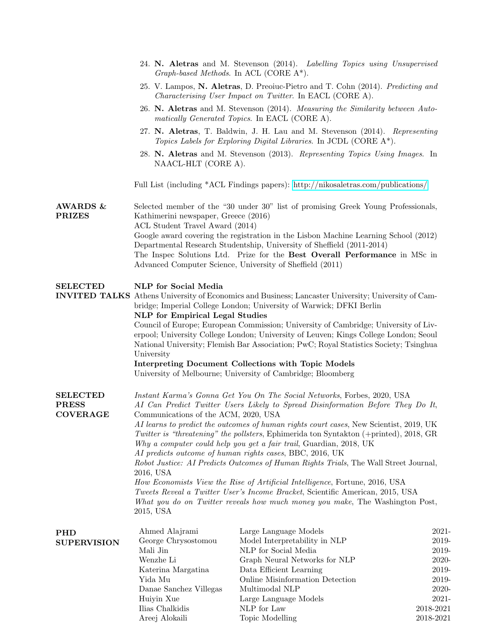|                                                    | 24. N. Aletras and M. Stevenson (2014). Labelling Topics using Unsupervised<br>Graph-based Methods. In ACL (CORE $A^*$ ).                                                                                                                                                                                         |                                                                                                                                                                                                                                                                                                          |                        |  |  |
|----------------------------------------------------|-------------------------------------------------------------------------------------------------------------------------------------------------------------------------------------------------------------------------------------------------------------------------------------------------------------------|----------------------------------------------------------------------------------------------------------------------------------------------------------------------------------------------------------------------------------------------------------------------------------------------------------|------------------------|--|--|
|                                                    | 25. V. Lampos, N. Aletras, D. Preoiuc-Pietro and T. Cohn (2014). Predicting and<br><i>Characterising User Impact on Twitter.</i> In EACL (CORE A).                                                                                                                                                                |                                                                                                                                                                                                                                                                                                          |                        |  |  |
|                                                    | 26. N. Aletras and M. Stevenson (2014). Measuring the Similarity between Auto-<br>matically Generated Topics. In EACL (CORE A).                                                                                                                                                                                   |                                                                                                                                                                                                                                                                                                          |                        |  |  |
|                                                    |                                                                                                                                                                                                                                                                                                                   | 27. N. Aletras, T. Baldwin, J. H. Lau and M. Stevenson (2014). Representing<br>Topics Labels for Exploring Digital Libraries. In JCDL (CORE A*).                                                                                                                                                         |                        |  |  |
|                                                    | NAACL-HLT (CORE A).                                                                                                                                                                                                                                                                                               | 28. N. Aletras and M. Stevenson (2013). Representing Topics Using Images. In                                                                                                                                                                                                                             |                        |  |  |
|                                                    |                                                                                                                                                                                                                                                                                                                   | Full List (including *ACL Findings papers): http://nikosaletras.com/publications/                                                                                                                                                                                                                        |                        |  |  |
| <b>AWARDS &amp;</b><br><b>PRIZES</b>               | Selected member of the "30 under 30" list of promising Greek Young Professionals,<br>Kathimerini newspaper, Greece (2016)<br>ACL Student Travel Award (2014)                                                                                                                                                      |                                                                                                                                                                                                                                                                                                          |                        |  |  |
|                                                    |                                                                                                                                                                                                                                                                                                                   | Google award covering the registration in the Lisbon Machine Learning School (2012)<br>Departmental Research Studentship, University of Sheffield (2011-2014)<br>The Inspec Solutions Ltd. Prize for the Best Overall Performance in MSc in<br>Advanced Computer Science, University of Sheffield (2011) |                        |  |  |
| <b>SELECTED</b>                                    | NLP for Social Media                                                                                                                                                                                                                                                                                              |                                                                                                                                                                                                                                                                                                          |                        |  |  |
|                                                    | <b>INVITED TALKS</b> Athens University of Economics and Business; Lancaster University; University of Cam-<br>bridge; Imperial College London; University of Warwick; DFKI Berlin                                                                                                                                 |                                                                                                                                                                                                                                                                                                          |                        |  |  |
|                                                    | <b>NLP</b> for Empirical Legal Studies<br>Council of Europe; European Commission; University of Cambridge; University of Liv-<br>erpool; University College London; University of Leuven; Kings College London; Seoul<br>National University; Flemish Bar Association; PwC; Royal Statistics Society; Tsinghua    |                                                                                                                                                                                                                                                                                                          |                        |  |  |
|                                                    | University<br><b>Interpreting Document Collections with Topic Models</b>                                                                                                                                                                                                                                          |                                                                                                                                                                                                                                                                                                          |                        |  |  |
|                                                    |                                                                                                                                                                                                                                                                                                                   | University of Melbourne; University of Cambridge; Bloomberg                                                                                                                                                                                                                                              |                        |  |  |
| <b>SELECTED</b><br><b>PRESS</b><br><b>COVERAGE</b> | Instant Karma's Gonna Get You On The Social Networks, Forbes, 2020, USA<br>AI Can Predict Twitter Users Likely to Spread Disinformation Before They Do It,<br>Communications of the ACM, 2020, USA                                                                                                                |                                                                                                                                                                                                                                                                                                          |                        |  |  |
|                                                    | AI learns to predict the outcomes of human rights court cases, New Scientist, 2019, UK<br>Twitter is "threatening" the pollsters, Ephimerida ton Syntakton (+printed), 2018, GR<br>Why a computer could help you get a fair trail, Guardian, 2018, UK<br>AI predicts outcome of human rights cases, BBC, 2016, UK |                                                                                                                                                                                                                                                                                                          |                        |  |  |
|                                                    | Robot Justice: AI Predicts Outcomes of Human Rights Trials, The Wall Street Journal,<br>2016, USA                                                                                                                                                                                                                 |                                                                                                                                                                                                                                                                                                          |                        |  |  |
|                                                    | How Economists View the Rise of Artificial Intelligence, Fortune, 2016, USA<br>Tweets Reveal a Twitter User's Income Bracket, Scientific American, 2015, USA                                                                                                                                                      |                                                                                                                                                                                                                                                                                                          |                        |  |  |
|                                                    | 2015, USA                                                                                                                                                                                                                                                                                                         | What you do on Twitter reveals how much money you make, The Washington Post,                                                                                                                                                                                                                             |                        |  |  |
| <b>PHD</b>                                         | Ahmed Alajrami                                                                                                                                                                                                                                                                                                    | Large Language Models                                                                                                                                                                                                                                                                                    | 2021-                  |  |  |
| <b>SUPERVISION</b>                                 | George Chrysostomou<br>Mali Jin                                                                                                                                                                                                                                                                                   | Model Interpretability in NLP<br>NLP for Social Media                                                                                                                                                                                                                                                    | 2019-<br>2019-         |  |  |
|                                                    | Wenzhe Li                                                                                                                                                                                                                                                                                                         | Graph Neural Networks for NLP                                                                                                                                                                                                                                                                            | 2020-                  |  |  |
|                                                    | Katerina Margatina                                                                                                                                                                                                                                                                                                | Data Efficient Learning                                                                                                                                                                                                                                                                                  | 2019-                  |  |  |
|                                                    | Yida Mu                                                                                                                                                                                                                                                                                                           | Online Misinformation Detection                                                                                                                                                                                                                                                                          | 2019-                  |  |  |
|                                                    | Danae Sanchez Villegas                                                                                                                                                                                                                                                                                            | Multimodal NLP                                                                                                                                                                                                                                                                                           | 2020-                  |  |  |
|                                                    | Huiyin Xue                                                                                                                                                                                                                                                                                                        | Large Language Models                                                                                                                                                                                                                                                                                    | 2021-                  |  |  |
|                                                    | Ilias Chalkidis<br>Areej Alokaili                                                                                                                                                                                                                                                                                 | NLP for Law<br>Topic Modelling                                                                                                                                                                                                                                                                           | 2018-2021<br>2018-2021 |  |  |
|                                                    |                                                                                                                                                                                                                                                                                                                   |                                                                                                                                                                                                                                                                                                          |                        |  |  |